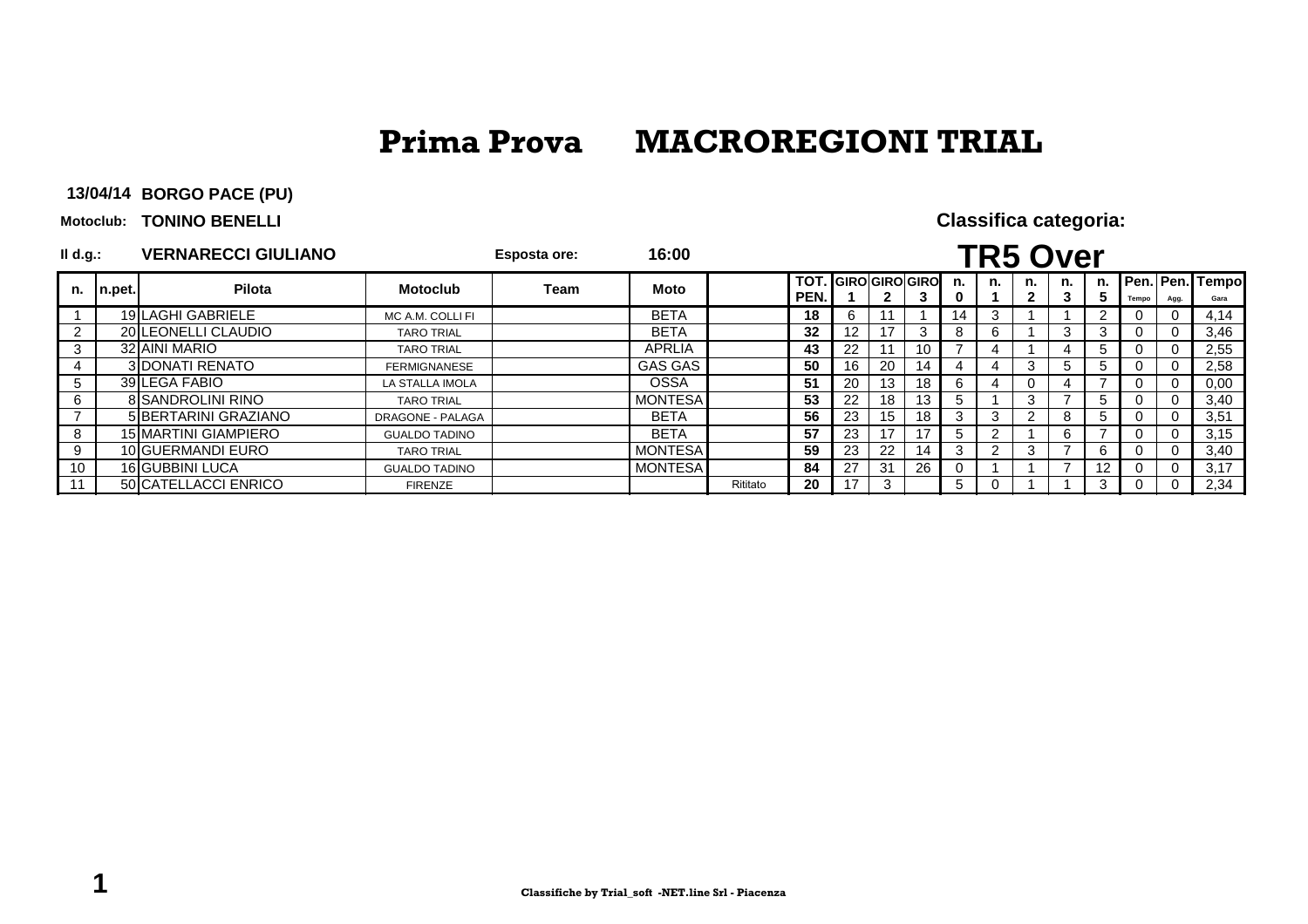**BORGO PACE (PU)13/04/14**

**Motoclub: TONINO BENELLI** 

| II d.g.: |        | <b>VERNARECCI GIULIANO</b>  |                      | <b>Esposta ore:</b> | 16:00          |          |                                     |                 |     |    |    |    | <b>TR5 Over</b> |         |                   |       |      |                          |
|----------|--------|-----------------------------|----------------------|---------------------|----------------|----------|-------------------------------------|-----------------|-----|----|----|----|-----------------|---------|-------------------|-------|------|--------------------------|
| n.       | n.pet. | Pilota                      | <b>Motoclub</b>      | Team                | <b>Moto</b>    |          | <b>TOT. GIROIGIROIGIROI</b><br>PEN. |                 | 2   | 3  | n. | n. | n.              | n.<br>3 | n.                | Tempo | Agg. | Pen. Pen. Tempol<br>Gara |
|          |        | 19 LAGHI GABRIELE           | MC A.M. COLLI FI     |                     | <b>BETA</b>    |          | 18                                  | 6               |     |    | 14 | 3  |                 |         |                   |       |      | 4,14                     |
| 2        |        | 20 LEONELLI CLAUDIO         | <b>TARO TRIAL</b>    |                     | <b>BETA</b>    |          | 32                                  | 12 <sup>2</sup> |     |    |    | 6  |                 | 3       |                   |       | - 0  | 3,46                     |
| 3        |        | 32 AINI MARIO               | <b>TARO TRIAL</b>    |                     | APRLIA         |          | 43                                  | 22              |     | 10 |    |    |                 | 4       | b.                |       |      | 2,55                     |
| 4        |        | <b>3IDONATI RENATO</b>      | <b>FERMIGNANESE</b>  |                     | GAS GAS        |          | 50                                  | 16              | 20  | 14 |    | 4  | 3               | 5       | $\mathcal{D}$     |       | - 0  | 2,58                     |
| 5        |        | 39 LEGA FABIO               | LA STALLA IMOLA      |                     | <b>OSSA</b>    |          | 51                                  | 20              | 13  | 18 | h  | 4  | 0               |         |                   |       |      | 0,00                     |
| 6        |        | <b>8 SANDROLINI RINO</b>    | <b>TARO TRIAL</b>    |                     | <b>MONTESA</b> |          | 53                                  | 22              | 18  | 13 | :  |    | 3               |         |                   |       | - 0  | 3,40                     |
|          |        | 5 BERTARINI GRAZIANO        | DRAGONE - PALAGA     |                     | <b>BETA</b>    |          | 56                                  | 23              | 15  | 18 |    | 3  | 2               | -8      | b.                |       |      | 3,51                     |
| 8        |        | <b>15 MARTINI GIAMPIERO</b> | <b>GUALDO TADINO</b> |                     | <b>BETA</b>    |          | 57                                  | 23              | 17  | 17 |    | 2  |                 | 6       |                   |       |      | 3,15                     |
| 9        |        | 10 GUERMANDI EURO           | <b>TARO TRIAL</b>    |                     | <b>MONTESA</b> |          | 59                                  | 23              | 22  | 14 |    | 2  | 3               |         |                   |       |      | 3,40                     |
| 10       |        | 16 GUBBINI LUCA             | <b>GUALDO TADINO</b> |                     | <b>MONTESA</b> |          | 84                                  | 27              | -31 | 26 |    |    |                 |         | $12 \overline{ }$ |       |      | 3,17                     |
|          |        | 50 CATELLACCI ENRICO        | <b>FIRENZE</b>       |                     |                | Rititato | 20                                  | 17              | 3   |    | 5  | 0  |                 |         |                   |       |      | 2,34                     |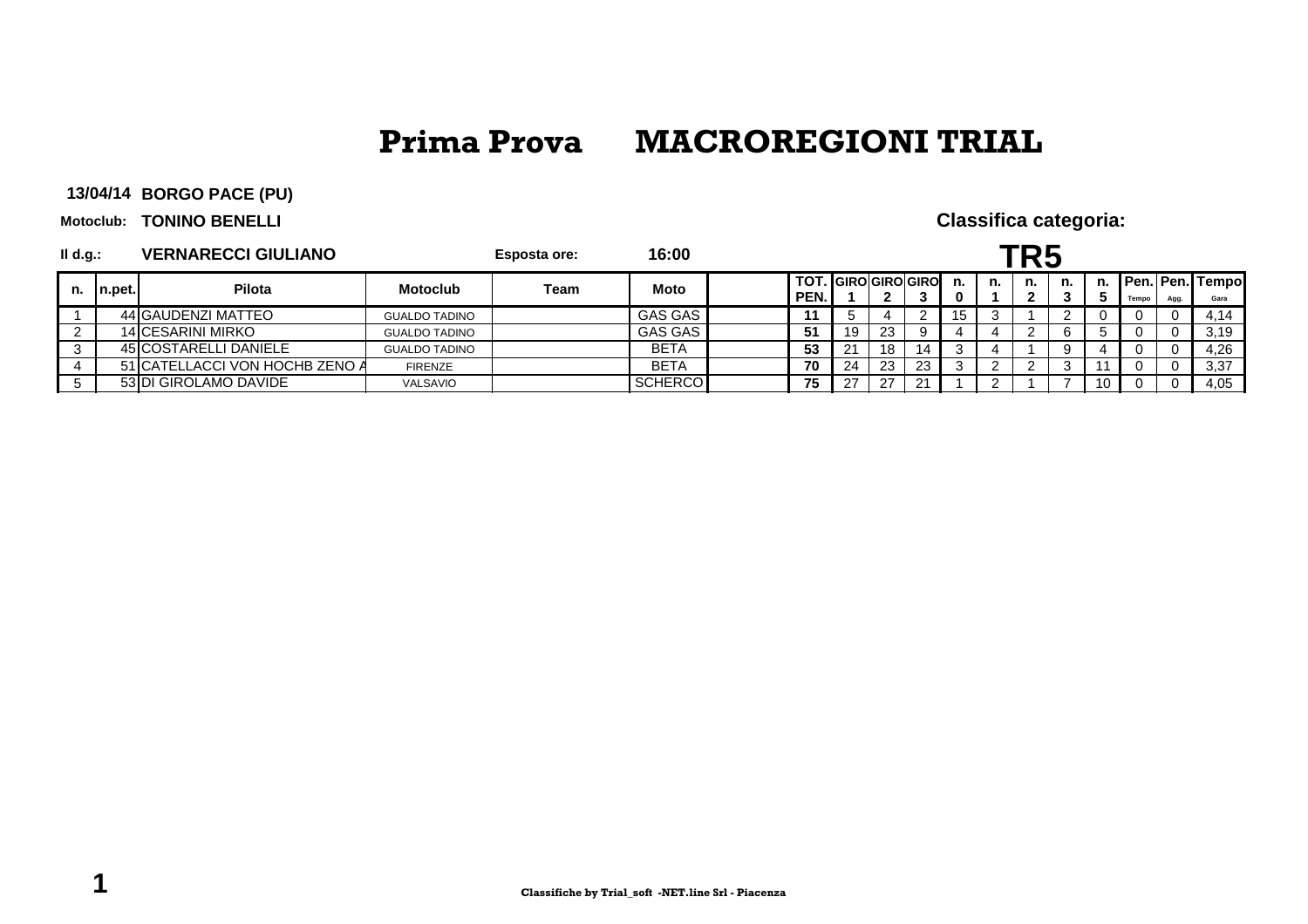**BORGO PACE (PU)13/04/14**

**Motoclub: TONINO BENELLI** 

| II d.g.: |         | <b>VERNARECCI GIULIANO</b>     |                      | <b>Esposta ore:</b> | 16:00          |      |                     |     |    |    |         |    |    |       |      |                         |
|----------|---------|--------------------------------|----------------------|---------------------|----------------|------|---------------------|-----|----|----|---------|----|----|-------|------|-------------------------|
| n.       | In.pet. | Pilota                         | <b>Motoclub</b>      | Team                | <b>Moto</b>    | PEN. | TOT. GIRO GIRO GIRO |     |    | n. | n.<br>◠ | n. | n. | Tempo | Agg. | Pen. Pen. Tempo<br>Gara |
|          |         | 44 GAUDENZI MATTEO             | <b>GUALDO TADINO</b> |                     | <b>GAS GAS</b> |      |                     |     |    |    |         |    |    |       |      | 4,14                    |
|          |         | 14 CESARINI MIRKO              | <b>GUALDO TADINO</b> |                     | GAS GAS        | 51   | 19                  | 23  |    |    |         | b  |    |       |      | 3,19                    |
|          |         | 45 COSTARELLI DANIELE          | <b>GUALDO TADINO</b> |                     | <b>BETA</b>    | 53   |                     | 18  | 14 |    |         | 9  |    |       |      | 4,26                    |
|          |         | 51 CATELLACCI VON HOCHB ZENO A | <b>FIRENZE</b>       |                     | <b>BETA</b>    | 70   | 24                  | 23  | 23 |    |         | ັ  |    |       |      | 3,37                    |
|          |         | 53 DI GIROLAMO DAVIDE          | <b>VALSAVIO</b>      |                     | SCHERCO        | 75   |                     | -27 |    |    |         |    | U  |       |      | 4,05                    |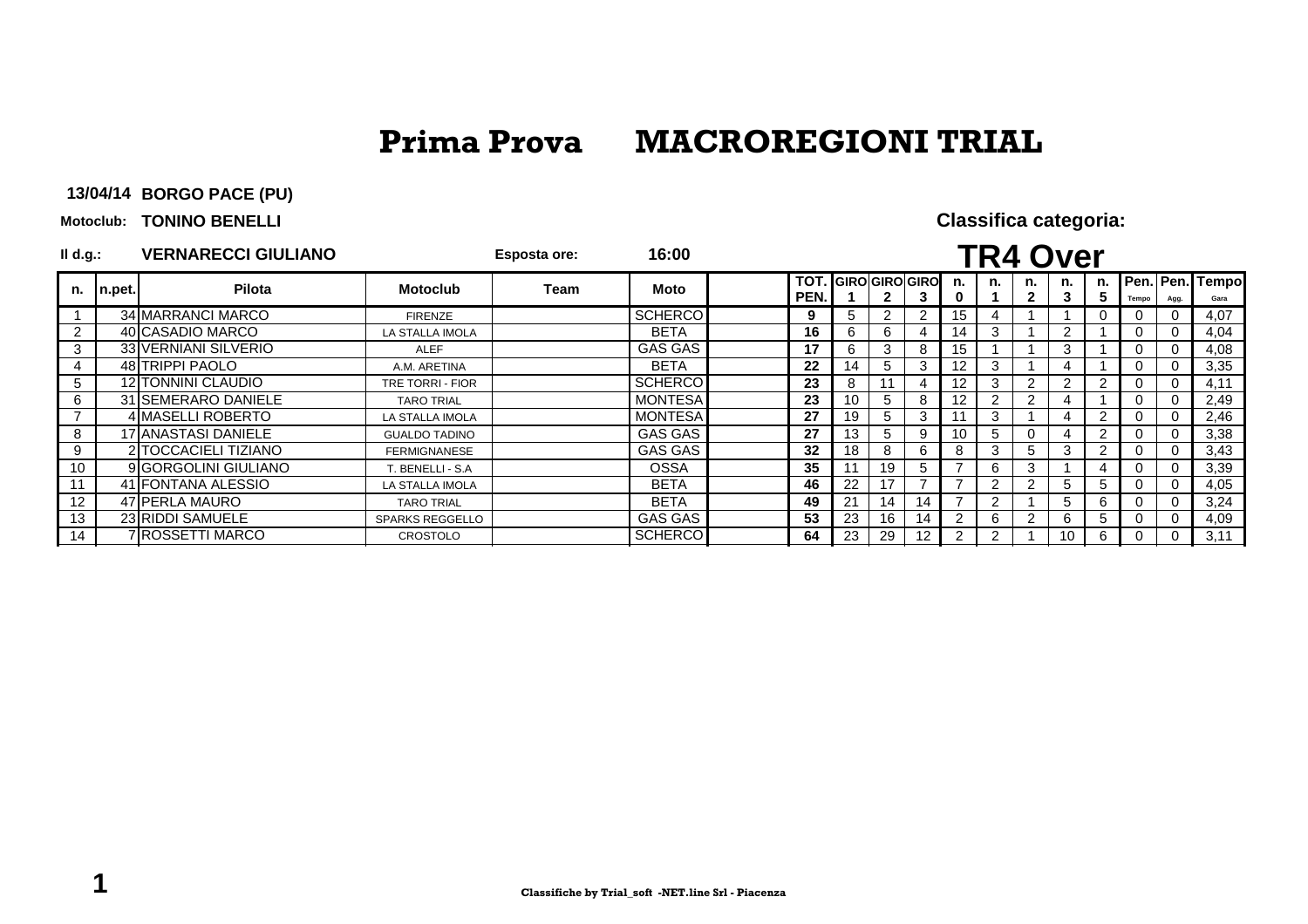**BORGO PACE (PU)13/04/14**

**Motoclub: TONINO BENELLI** 

| $I$ l d.g.:    |           | <b>VERNARECCI GIULIANO</b>  |                        | Esposta ore: | 16:00          |                    |                 |                       |    |    |    | <b>TR4 Over</b> |         |        |       |          |                         |
|----------------|-----------|-----------------------------|------------------------|--------------|----------------|--------------------|-----------------|-----------------------|----|----|----|-----------------|---------|--------|-------|----------|-------------------------|
| n.             | $n.$ pet. | Pilota                      | <b>Motoclub</b>        | Team         | <b>Moto</b>    | <b>TOT</b><br>PEN. |                 | <b>GIRO GIRO GIRO</b> |    | n. | n. | n.              | n.<br>3 | n.     | Tempo | Agg.     | Pen. Pen. Tempo<br>Gara |
|                |           | 34 MARRANCI MARCO           | <b>FIRENZE</b>         |              | <b>SCHERCO</b> | 9                  | 5.              | 2                     | 2  | 15 | 4  |                 |         |        |       | $\Omega$ | 4,07                    |
| $\overline{2}$ |           | 40 CASADIO MARCO            | LA STALLA IMOLA        |              | <b>BETA</b>    | 16                 | 6               | 6                     | 4  | 14 | 3  |                 |         |        |       | $\Omega$ | 4,04                    |
| 3              |           | <b>33 VERNIANI SILVERIO</b> | <b>ALEF</b>            |              | <b>GAS GAS</b> | 17                 | 6               | 3                     | 8  | 15 |    |                 | 3       |        |       | $\Omega$ | 4,08                    |
| 4              |           | 48 TRIPPI PAOLO             | A.M. ARETINA           |              | <b>BETA</b>    | 22                 | 14              | 5                     | 3  | 12 | 3  |                 | 4       |        |       | $\Omega$ | 3,35                    |
| 5              |           | 12 TONNINI CLAUDIO          | TRE TORRI - FIOR       |              | <b>SCHERCO</b> | 23                 | 8               |                       |    | 12 | 3  | 2               |         |        |       | $\Omega$ | 4,11                    |
| 6              |           | 31 SEMERARO DANIELE         | <b>TARO TRIAL</b>      |              | <b>MONTESA</b> | 23                 | 10 <sup>1</sup> | 5                     | 8  | 2  | 2  | っ               |         |        |       | $\Omega$ | 2,49                    |
|                |           | 4 MASELLI ROBERTO           | LA STALLA IMOLA        |              | <b>MONTESA</b> | 27                 | 19              | 5                     | 3  |    | 3  |                 |         |        |       | $\Omega$ | 2,46                    |
| 8              |           | 17 ANASTASI DANIELE         | <b>GUALDO TADINO</b>   |              | GAS GAS        | 27                 | 13              | 5                     | 9  |    | 5  | $\Omega$        |         | 2      |       | $\Omega$ | 3,38                    |
| 9              |           | 2 TOCCACIELI TIZIANO        | <b>FERMIGNANESE</b>    |              | GAS GAS        | 32                 | 18              | 8                     | 6  | 8  | 3  | 5               | 3       |        |       | $\Omega$ | 3,43                    |
| 10             |           | 9 GORGOLINI GIULIANO        | T. BENELLI - S.A       |              | <b>OSSA</b>    | 35                 | 11              | 19                    | 5  |    | 6  | 3               |         |        |       | $\Omega$ | 3,39                    |
| 11             |           | 41 FONTANA ALESSIO          | LA STALLA IMOLA        |              | <b>BETA</b>    | 46                 | 22              |                       |    |    | 2  | 2               | 5       | ÷.     |       | $\Omega$ | 4,05                    |
| 12             |           | 47 PERLA MAURO              | <b>TARO TRIAL</b>      |              | <b>BETA</b>    | 49                 | 21              | 14                    | 14 |    | 2  |                 | 5       | $\sim$ |       | $\Omega$ | 3,24                    |
| 13             |           | 23 RIDDI SAMUELE            | <b>SPARKS REGGELLO</b> |              | <b>GAS GAS</b> | 53                 | 23              | 16                    | 14 |    | 6  | 2               | 6       | b.     |       | $\Omega$ | 4,09                    |
| 14             |           | 7 ROSSETTI MARCO            | <b>CROSTOLO</b>        |              | <b>SCHERCO</b> | 64                 | 23              | 29                    | 12 | 2  | 2  |                 | 10      |        |       |          | 3,11                    |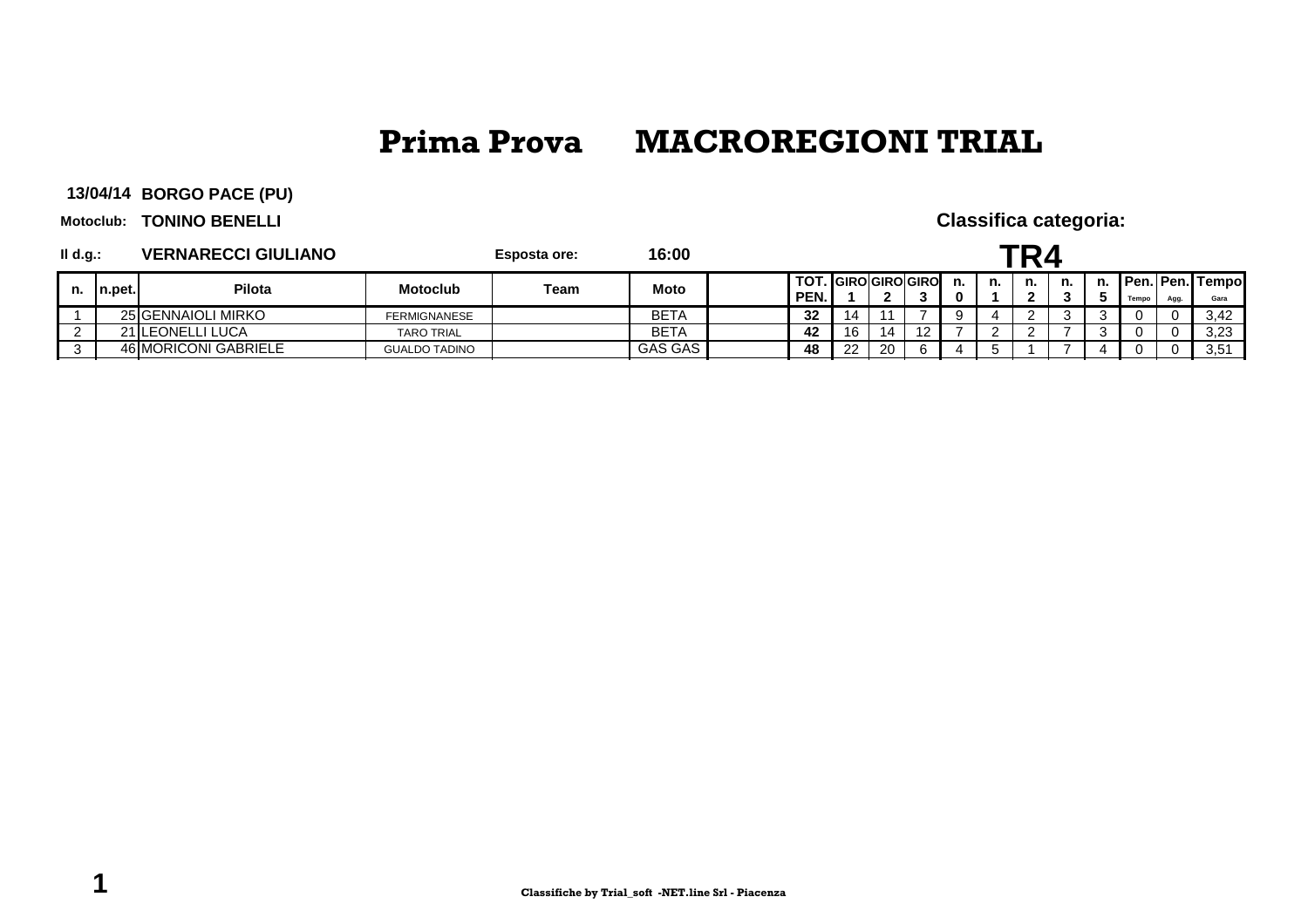**BORGO PACE (PU)13/04/14**

**Motoclub: TONINO BENELLI** 

| II d.g.: |         | <b>VERNARECCI GIULIANO</b> |                      | <b>Esposta ore:</b> | 16:00          |              |    |                    |  |    |    |    |    |    |       |      |                                |
|----------|---------|----------------------------|----------------------|---------------------|----------------|--------------|----|--------------------|--|----|----|----|----|----|-------|------|--------------------------------|
| n.       | In.pet. | Pilota                     | <b>Motoclub</b>      | Team                | <b>Moto</b>    | TOT.<br>PEN. |    | . IGIROIGIROIGIROI |  | n. | n. | n. | n. | n. | Tempo | Agg. | <b>Pen. Pen. Tempo</b><br>Gara |
|          |         | 25 GENNAIOLI MIRKO         | FERMIGNANESE         |                     | BETA           | 32           | 14 |                    |  |    |    |    |    |    |       |      | 3.42                           |
|          |         | 21 LEONELLI LUCA           | <b>TARO TRIAL</b>    |                     | <b>BETA</b>    | 42           | 16 | 14                 |  |    |    |    |    |    |       |      | 3,23                           |
|          |         | 46 MORICONI GABRIELE       | <b>GUALDO TADINO</b> |                     | <b>GAS GAS</b> | 48           | つつ | 20                 |  |    |    |    |    |    |       |      | 3.51                           |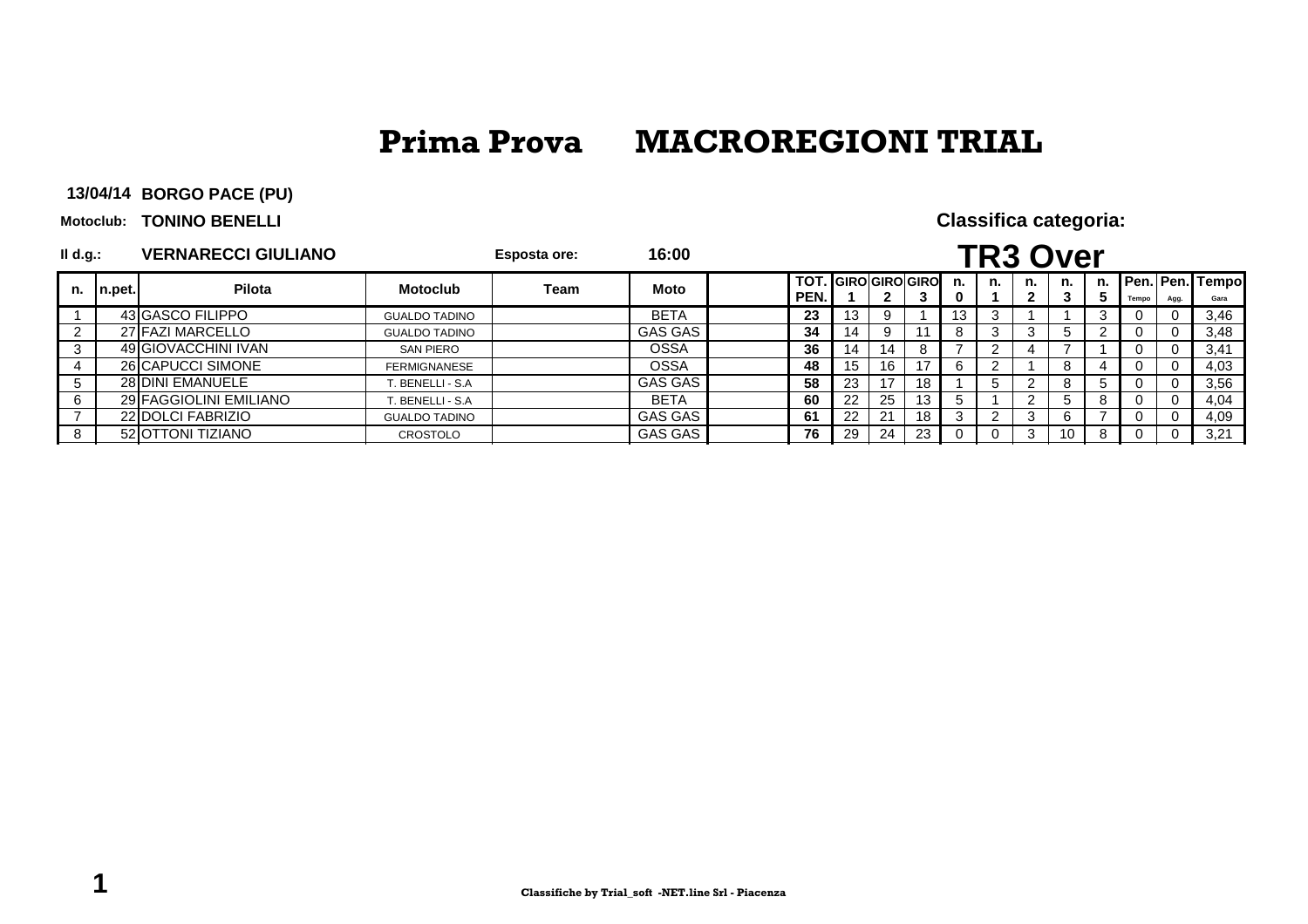**BORGO PACE (PU)13/04/14**

**Motoclub: TONINO BENELLI** 

| $II$ d.g.: |        | <b>VERNARECCI GIULIANO</b> |                      | <b>Esposta ore:</b> | 16:00       |      |                              |     |         |    |    | <b>TR3 Over</b> |    |       |      |                         |
|------------|--------|----------------------------|----------------------|---------------------|-------------|------|------------------------------|-----|---------|----|----|-----------------|----|-------|------|-------------------------|
| n.         | n.pet. | Pilota                     | <b>Motoclub</b>      | Team                | <b>Moto</b> | PEN. | <b>TOT. IGIROIGIROIGIROI</b> | 3   | n.<br>0 | n. | n. | n.              | n. | Tempo | Agg. | Pen. Pen. Tempo<br>Gara |
|            |        | 43 GASCO FILIPPO           | <b>GUALDO TADINO</b> |                     | <b>BETA</b> | 23   | 13                           |     | 13      | 3  |    |                 |    |       |      | 3,46                    |
|            |        | 27 FAZI MARCELLO           | <b>GUALDO TADINO</b> |                     | GAS GAS     | 34   | 14                           |     |         |    |    |                 |    |       |      | 3,48                    |
|            |        | 49 GIOVACCHINI IVAN        | <b>SAN PIERO</b>     |                     | <b>OSSA</b> | 36   | 14<br>14                     |     |         |    |    |                 |    |       |      | 3,41                    |
| 4          |        | 26 CAPUCCI SIMONE          | <b>FERMIGNANESE</b>  |                     | <b>OSSA</b> | 48   | 15<br>16                     | 17  | 6       |    |    |                 |    |       |      | 4,03                    |
| 5          |        | 28 DINI EMANUELE           | BENELLI - S.A        |                     | GAS GAS     | 58   | 23                           | 18  |         |    |    |                 |    |       |      | 3,56                    |
| 6          |        | 29 FAGGIOLINI EMILIANO     | . BENELLI - S.A      |                     | <b>BETA</b> | 60   | 22<br>25                     | 13  |         |    |    |                 |    |       |      | 4,04                    |
|            |        | 22 DOLCI FABRIZIO          | <b>GUALDO TADINO</b> |                     | GAS GAS     | -61  | 22<br>2 <sup>1</sup>         | 18  |         | ົ  | 3  |                 |    |       |      | 4,09                    |
|            |        | 52 OTTONI TIZIANO          | CROSTOLO             |                     | GAS GAS     | 76   | 24<br>29                     | -23 |         |    | 3  | 10              |    |       |      | 3,21                    |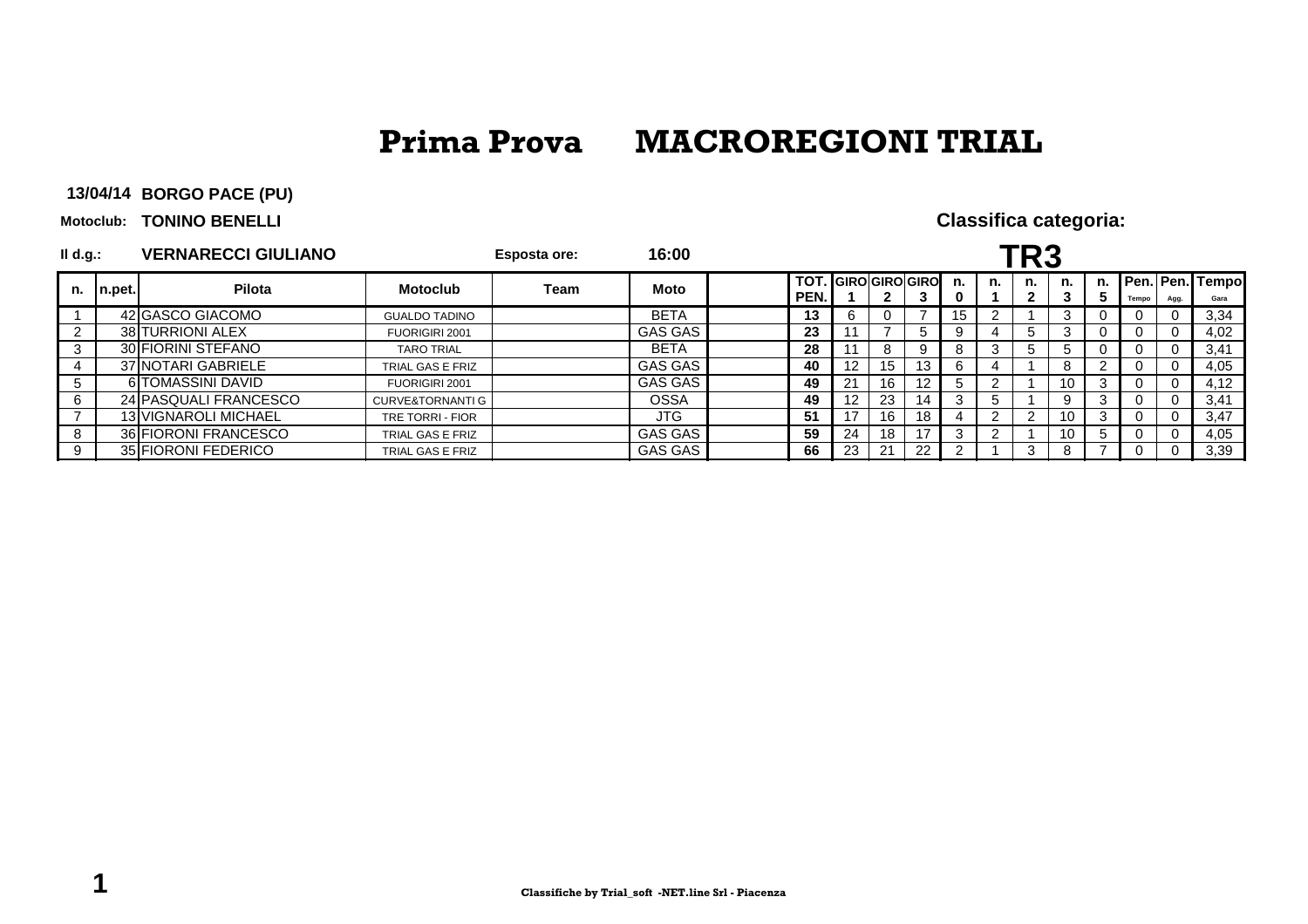**BORGO PACE (PU)13/04/14**

**Motoclub: TONINO BENELLI** 

| II d.g.:     |        | <b>VERNARECCI GIULIANO</b>  |                             | Esposta ore: | 16:00       |              |                   |              |                    |     |         | <b>FR3</b> |     |          |      |                             |
|--------------|--------|-----------------------------|-----------------------------|--------------|-------------|--------------|-------------------|--------------|--------------------|-----|---------|------------|-----|----------|------|-----------------------------|
| n.           | n.pet. | Pilota                      | <b>Motoclub</b>             | Team         | Moto        | TOT.<br>PEN. |                   | $\mathbf{2}$ | . IGIROIGIROIGIROI | n.  | n.      | n.<br>2    | n.  | Tempo    | Agg. | n. Pen. Pen. Tempol<br>Gara |
|              |        | 42 GASCO GIACOMO            | <b>GUALDO TADINO</b>        |              | <b>BETA</b> | 13           |                   |              |                    | 15. |         |            |     |          |      | 3,34                        |
|              |        | 38 TURRIONI ALEX            | FUORIGIRI 2001              |              | GAS GAS     | 23           |                   |              |                    |     |         |            |     |          |      | 4,02                        |
| 3            |        | 30 FIORINI STEFANO          | <b>TARO TRIAL</b>           |              | <b>BETA</b> | 28           |                   | 8            |                    |     | $\cdot$ |            |     |          |      | 3,41                        |
| 4            |        | 37 NOTARI GABRIELE          | TRIAL GAS E FRIZ            |              | GAS GAS     | 40           | 12                | 15           | 13                 |     |         |            |     | $\Omega$ |      | 4,05                        |
| $\mathbf{p}$ |        | 6 TOMASSINI DAVID           | FUORIGIRI 2001              |              | GAS GAS     | 49           | 21                | 16           |                    |     |         |            | 10  |          |      | 4.12                        |
| 6            |        | 24 PASQUALI FRANCESCO       | <b>CURVE&amp;TORNANTI G</b> |              | <b>OSSA</b> | 49           | $12 \overline{ }$ | 23           | 14                 |     |         |            |     |          |      | 3,41                        |
|              |        | <b>13 VIGNAROLI MICHAEL</b> | TRE TORRI - FIOR            |              | JTG.        | 51           | 17                | 16           | 18                 |     |         |            | 10  |          |      | 3.47                        |
| -8           |        | 36 FIORONI FRANCESCO        | TRIAL GAS E FRIZ            |              | GAS GAS     | 59           | 24                | 18           |                    |     |         |            | -10 |          |      | 4,05                        |
| 9            |        | 35 FIORONI FEDERICO         | TRIAL GAS E FRIZ            |              | GAS GAS     | 66           | 23                | 21           | 22                 |     |         | 3          |     |          |      | 3,39                        |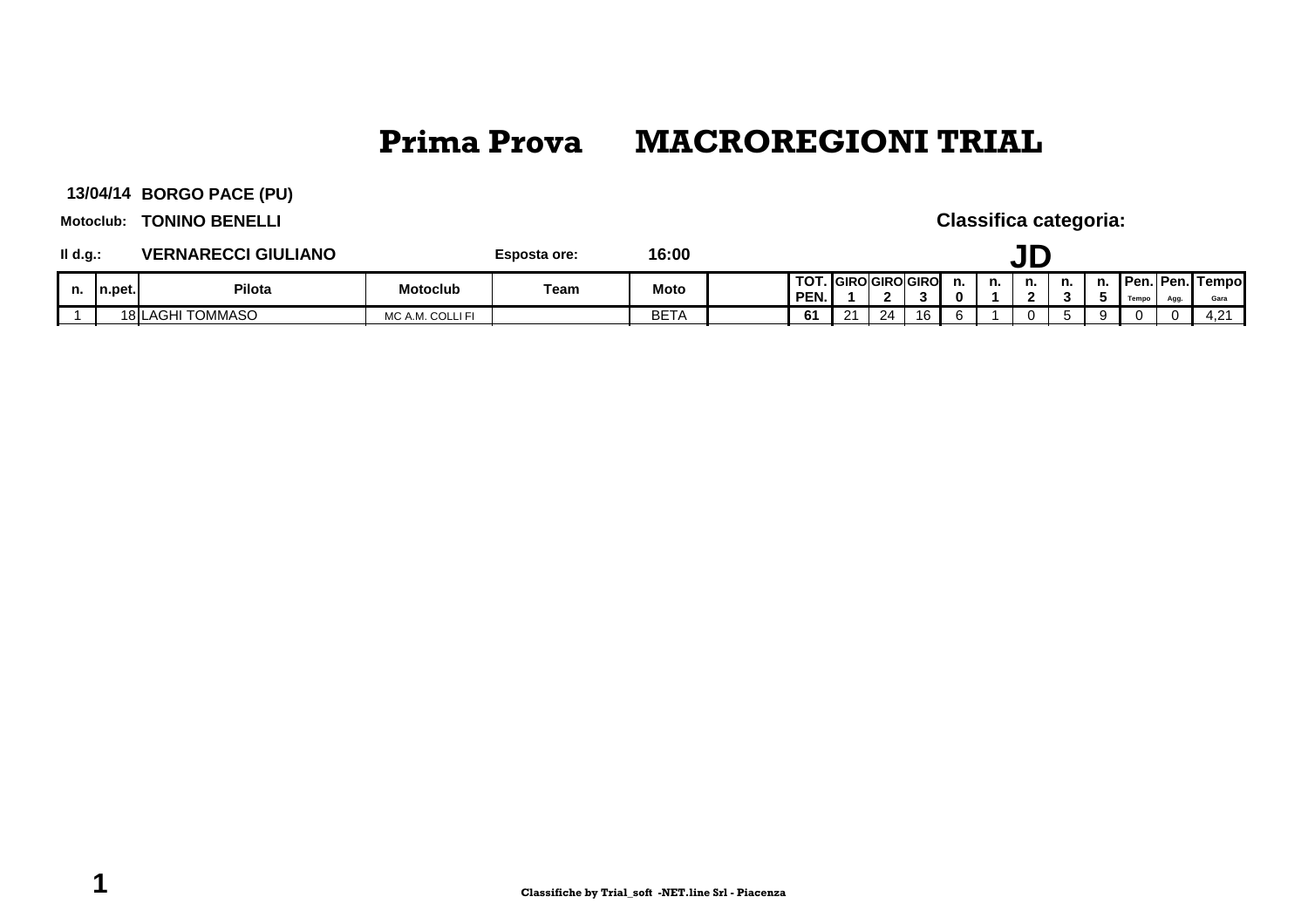**BORGO PACE (PU)13/04/14**

**Motoclub: TONINO BENELLI** 

| II d.g.: |         | <b>VERNARECCI GIULIANO</b>  |                  | Esposta ore: | 16:00       |  |              |          |    |                    |    |    |                          |    |                           |      |               |
|----------|---------|-----------------------------|------------------|--------------|-------------|--|--------------|----------|----|--------------------|----|----|--------------------------|----|---------------------------|------|---------------|
| n.       | In.pet. | <b>Pilota</b>               | <b>Motoclub</b>  | Team         | <b>Moto</b> |  | TO1.<br>PEN. |          |    | . IGIROIGIROIGIROI | ш. | n. | n.<br>$\mathbf{\hat{a}}$ | n. | <b>Pen. Pen.</b><br>Tempo | Agg. | Tempo<br>Gara |
|          |         | <b>TOMMASO</b><br>18 ILAGHI | MC A.M. COLLI FI |              | <b>BETA</b> |  | CA.          | $\Omega$ | 24 | 16                 |    |    |                          |    |                           |      | 4.21          |